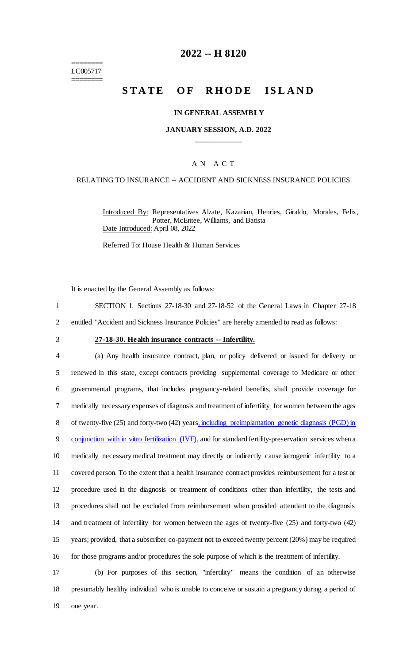======== LC005717 ========

# **2022 -- H 8120**

# **STATE OF RHODE ISLAND**

#### **IN GENERAL ASSEMBLY**

## **JANUARY SESSION, A.D. 2022 \_\_\_\_\_\_\_\_\_\_\_\_**

# A N A C T

### RELATING TO INSURANCE -- ACCIDENT AND SICKNESS INSURANCE POLICIES

Introduced By: Representatives Alzate, Kazarian, Henries, Giraldo, Morales, Felix, Potter, McEntee, Williams, and Batista Date Introduced: April 08, 2022

Referred To: House Health & Human Services

It is enacted by the General Assembly as follows:

|  |  | SECTION 1. Sections 27-18-30 and 27-18-52 of the General Laws in Chapter 27-18 |  |  |  |
|--|--|--------------------------------------------------------------------------------|--|--|--|
|  |  |                                                                                |  |  |  |

2 entitled "Accident and Sickness Insurance Policies" are hereby amended to read as follows:

# 3 **27-18-30. Health insurance contracts -- Infertility.**

 (a) Any health insurance contract, plan, or policy delivered or issued for delivery or renewed in this state, except contracts providing supplemental coverage to Medicare or other governmental programs, that includes pregnancy-related benefits, shall provide coverage for medically necessary expenses of diagnosis and treatment of infertility for women between the ages of twenty-five (25) and forty-two (42) years, including preimplantation genetic diagnosis (PGD) in 9 conjunction with in vitro fertilization (IVF), and for standard fertility-preservation services when a medically necessary medical treatment may directly or indirectly cause iatrogenic infertility to a covered person. To the extent that a health insurance contract provides reimbursement for a test or procedure used in the diagnosis or treatment of conditions other than infertility, the tests and procedures shall not be excluded from reimbursement when provided attendant to the diagnosis and treatment of infertility for women between the ages of twenty-five (25) and forty-two (42) years; provided, that a subscriber co-payment not to exceed twenty percent (20%) may be required 16 for those programs and/or procedures the sole purpose of which is the treatment of infertility.

17 (b) For purposes of this section, "infertility" means the condition of an otherwise 18 presumably healthy individual who is unable to conceive or sustain a pregnancy during a period of 19 one year.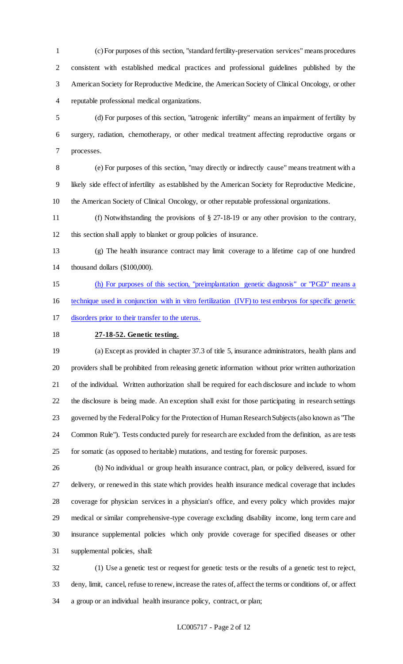(c) For purposes of this section, "standard fertility-preservation services" means procedures consistent with established medical practices and professional guidelines published by the American Society for Reproductive Medicine, the American Society of Clinical Oncology, or other reputable professional medical organizations.

 (d) For purposes of this section, "iatrogenic infertility" means an impairment of fertility by surgery, radiation, chemotherapy, or other medical treatment affecting reproductive organs or processes.

 (e) For purposes of this section, "may directly or indirectly cause" means treatment with a likely side effect of infertility as established by the American Society for Reproductive Medicine, the American Society of Clinical Oncology, or other reputable professional organizations.

 (f) Notwithstanding the provisions of § 27-18-19 or any other provision to the contrary, this section shall apply to blanket or group policies of insurance.

 (g) The health insurance contract may limit coverage to a lifetime cap of one hundred thousand dollars (\$100,000).

 (h) For purposes of this section, "preimplantation genetic diagnosis" or "PGD" means a technique used in conjunction with in vitro fertilization (IVF) to test embryos for specific genetic disorders prior to their transfer to the uterus.

#### **27-18-52. Genetic testing.**

 (a) Except as provided in chapter 37.3 of title 5, insurance administrators, health plans and providers shall be prohibited from releasing genetic information without prior written authorization of the individual. Written authorization shall be required for each disclosure and include to whom the disclosure is being made. An exception shall exist for those participating in research settings governed by the Federal Policy for the Protection of Human Research Subjects (also known as "The Common Rule"). Tests conducted purely for research are excluded from the definition, as are tests for somatic (as opposed to heritable) mutations, and testing for forensic purposes.

 (b) No individual or group health insurance contract, plan, or policy delivered, issued for delivery, or renewed in this state which provides health insurance medical coverage that includes coverage for physician services in a physician's office, and every policy which provides major medical or similar comprehensive-type coverage excluding disability income, long term care and insurance supplemental policies which only provide coverage for specified diseases or other supplemental policies, shall:

 (1) Use a genetic test or request for genetic tests or the results of a genetic test to reject, deny, limit, cancel, refuse to renew, increase the rates of, affect the terms or conditions of, or affect a group or an individual health insurance policy, contract, or plan;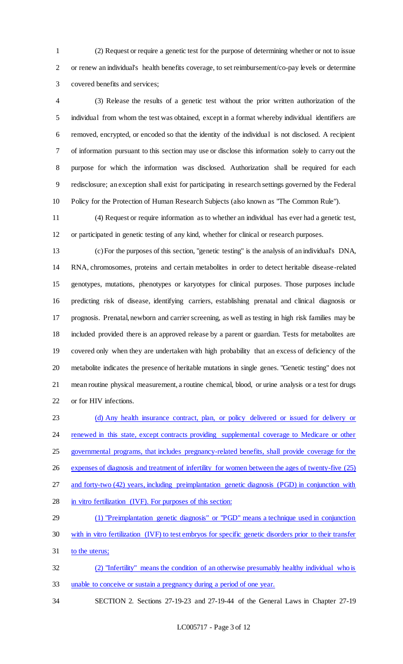(2) Request or require a genetic test for the purpose of determining whether or not to issue or renew an individual's health benefits coverage, to set reimbursement/co-pay levels or determine covered benefits and services;

 (3) Release the results of a genetic test without the prior written authorization of the individual from whom the test was obtained, except in a format whereby individual identifiers are removed, encrypted, or encoded so that the identity of the individual is not disclosed. A recipient of information pursuant to this section may use or disclose this information solely to carry out the purpose for which the information was disclosed. Authorization shall be required for each redisclosure; an exception shall exist for participating in research settings governed by the Federal Policy for the Protection of Human Research Subjects (also known as "The Common Rule").

 (4) Request or require information as to whether an individual has ever had a genetic test, or participated in genetic testing of any kind, whether for clinical or research purposes.

 (c) For the purposes of this section, "genetic testing" is the analysis of an individual's DNA, RNA, chromosomes, proteins and certain metabolites in order to detect heritable disease-related genotypes, mutations, phenotypes or karyotypes for clinical purposes. Those purposes include predicting risk of disease, identifying carriers, establishing prenatal and clinical diagnosis or prognosis. Prenatal, newborn and carrier screening, as well as testing in high risk families may be included provided there is an approved release by a parent or guardian. Tests for metabolites are covered only when they are undertaken with high probability that an excess of deficiency of the metabolite indicates the presence of heritable mutations in single genes. "Genetic testing" does not mean routine physical measurement, a routine chemical, blood, or urine analysis or a test for drugs or for HIV infections.

 (d) Any health insurance contract, plan, or policy delivered or issued for delivery or 24 renewed in this state, except contracts providing supplemental coverage to Medicare or other governmental programs, that includes pregnancy-related benefits, shall provide coverage for the expenses of diagnosis and treatment of infertility for women between the ages of twenty-five (25) and forty-two (42) years, including preimplantation genetic diagnosis (PGD) in conjunction with in vitro fertilization (IVF). For purposes of this section:

 (1) "Preimplantation genetic diagnosis" or "PGD" means a technique used in conjunction with in vitro fertilization (IVF) to test embryos for specific genetic disorders prior to their transfer to the uterus;

 (2) "Infertility" means the condition of an otherwise presumably healthy individual who is unable to conceive or sustain a pregnancy during a period of one year.

SECTION 2. Sections 27-19-23 and 27-19-44 of the General Laws in Chapter 27-19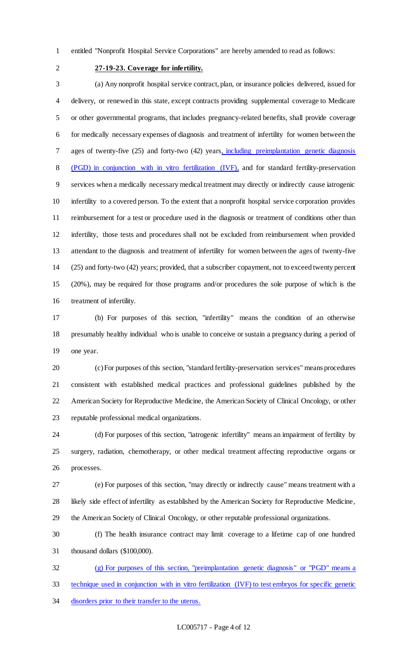entitled "Nonprofit Hospital Service Corporations" are hereby amended to read as follows:

# **27-19-23. Coverage for infertility.**

 (a) Any nonprofit hospital service contract, plan, or insurance policies delivered, issued for delivery, or renewed in this state, except contracts providing supplemental coverage to Medicare or other governmental programs, that includes pregnancy-related benefits, shall provide coverage for medically necessary expenses of diagnosis and treatment of infertility for women between the ages of twenty-five (25) and forty-two (42) years, including preimplantation genetic diagnosis (PGD) in conjunction with in vitro fertilization (IVF), and for standard fertility-preservation services when a medically necessary medical treatment may directly or indirectly cause iatrogenic infertility to a covered person. To the extent that a nonprofit hospital service corporation provides reimbursement for a test or procedure used in the diagnosis or treatment of conditions other than infertility, those tests and procedures shall not be excluded from reimbursement when provided attendant to the diagnosis and treatment of infertility for women between the ages of twenty-five (25) and forty-two (42) years; provided, that a subscriber copayment, not to exceed twenty percent (20%), may be required for those programs and/or procedures the sole purpose of which is the treatment of infertility.

 (b) For purposes of this section, "infertility" means the condition of an otherwise presumably healthy individual who is unable to conceive or sustain a pregnancy during a period of one year.

 (c) For purposes of this section, "standard fertility-preservation services" means procedures consistent with established medical practices and professional guidelines published by the American Society for Reproductive Medicine, the American Society of Clinical Oncology, or other reputable professional medical organizations.

 (d) For purposes of this section, "iatrogenic infertility" means an impairment of fertility by surgery, radiation, chemotherapy, or other medical treatment affecting reproductive organs or processes.

 (e) For purposes of this section, "may directly or indirectly cause" means treatment with a likely side effect of infertility as established by the American Society for Reproductive Medicine, the American Society of Clinical Oncology, or other reputable professional organizations.

 (f) The health insurance contract may limit coverage to a lifetime cap of one hundred thousand dollars (\$100,000).

 (g) For purposes of this section, "preimplantation genetic diagnosis" or "PGD" means a technique used in conjunction with in vitro fertilization (IVF) to test embryos for specific genetic disorders prior to their transfer to the uterus.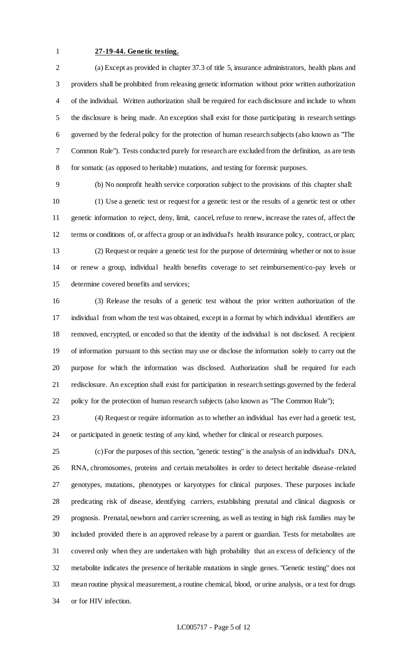### **27-19-44. Genetic testing.**

 (a) Except as provided in chapter 37.3 of title 5, insurance administrators, health plans and providers shall be prohibited from releasing genetic information without prior written authorization of the individual. Written authorization shall be required for each disclosure and include to whom the disclosure is being made. An exception shall exist for those participating in research settings governed by the federal policy for the protection of human research subjects (also known as "The Common Rule"). Tests conducted purely for research are excluded from the definition, as are tests for somatic (as opposed to heritable) mutations, and testing for forensic purposes.

 (b) No nonprofit health service corporation subject to the provisions of this chapter shall: (1) Use a genetic test or request for a genetic test or the results of a genetic test or other genetic information to reject, deny, limit, cancel, refuse to renew, increase the rates of, affect the terms or conditions of, or affect a group or an individual's health insurance policy, contract, or plan; (2) Request or require a genetic test for the purpose of determining whether or not to issue or renew a group, individual health benefits coverage to set reimbursement/co-pay levels or determine covered benefits and services;

 (3) Release the results of a genetic test without the prior written authorization of the individual from whom the test was obtained, except in a format by which individual identifiers are removed, encrypted, or encoded so that the identity of the individual is not disclosed. A recipient of information pursuant to this section may use or disclose the information solely to carry out the purpose for which the information was disclosed. Authorization shall be required for each redisclosure. An exception shall exist for participation in research settings governed by the federal 22 policy for the protection of human research subjects (also known as "The Common Rule");

 (4) Request or require information as to whether an individual has ever had a genetic test, or participated in genetic testing of any kind, whether for clinical or research purposes.

 (c) For the purposes of this section, "genetic testing" is the analysis of an individual's DNA, RNA, chromosomes, proteins and certain metabolites in order to detect heritable disease-related genotypes, mutations, phenotypes or karyotypes for clinical purposes. These purposes include predicating risk of disease, identifying carriers, establishing prenatal and clinical diagnosis or prognosis. Prenatal, newborn and carrier screening, as well as testing in high risk families may be included provided there is an approved release by a parent or guardian. Tests for metabolites are covered only when they are undertaken with high probability that an excess of deficiency of the metabolite indicates the presence of heritable mutations in single genes. "Genetic testing" does not mean routine physical measurement, a routine chemical, blood, or urine analysis, or a test for drugs or for HIV infection.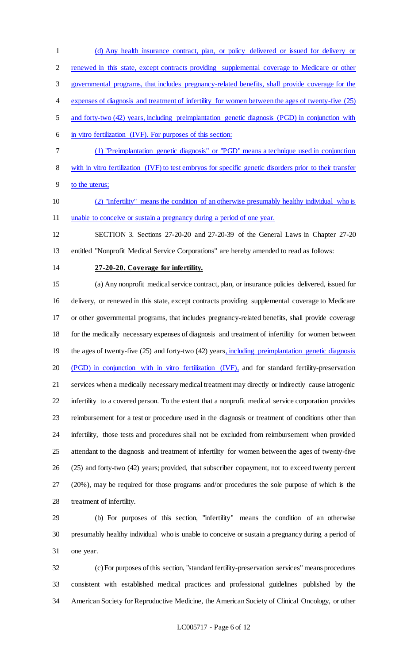(d) Any health insurance contract, plan, or policy delivered or issued for delivery or renewed in this state, except contracts providing supplemental coverage to Medicare or other governmental programs, that includes pregnancy-related benefits, shall provide coverage for the expenses of diagnosis and treatment of infertility for women between the ages of twenty-five (25) and forty-two (42) years, including preimplantation genetic diagnosis (PGD) in conjunction with in vitro fertilization (IVF). For purposes of this section: (1) "Preimplantation genetic diagnosis" or "PGD" means a technique used in conjunction

with in vitro fertilization (IVF) to test embryos for specific genetic disorders prior to their transfer

to the uterus;

 (2) "Infertility" means the condition of an otherwise presumably healthy individual who is 11 unable to conceive or sustain a pregnancy during a period of one year.

 SECTION 3. Sections 27-20-20 and 27-20-39 of the General Laws in Chapter 27-20 entitled "Nonprofit Medical Service Corporations" are hereby amended to read as follows:

### **27-20-20. Coverage for infertility.**

 (a) Any nonprofit medical service contract, plan, or insurance policies delivered, issued for delivery, or renewed in this state, except contracts providing supplemental coverage to Medicare or other governmental programs, that includes pregnancy-related benefits, shall provide coverage for the medically necessary expenses of diagnosis and treatment of infertility for women between 19 the ages of twenty-five (25) and forty-two (42) years, including preimplantation genetic diagnosis (PGD) in conjunction with in vitro fertilization (IVF), and for standard fertility-preservation services when a medically necessary medical treatment may directly or indirectly cause iatrogenic infertility to a covered person. To the extent that a nonprofit medical service corporation provides reimbursement for a test or procedure used in the diagnosis or treatment of conditions other than infertility, those tests and procedures shall not be excluded from reimbursement when provided attendant to the diagnosis and treatment of infertility for women between the ages of twenty-five (25) and forty-two (42) years; provided, that subscriber copayment, not to exceed twenty percent (20%), may be required for those programs and/or procedures the sole purpose of which is the treatment of infertility.

 (b) For purposes of this section, "infertility" means the condition of an otherwise presumably healthy individual who is unable to conceive or sustain a pregnancy during a period of one year.

 (c) For purposes of this section, "standard fertility-preservation services" means procedures consistent with established medical practices and professional guidelines published by the American Society for Reproductive Medicine, the American Society of Clinical Oncology, or other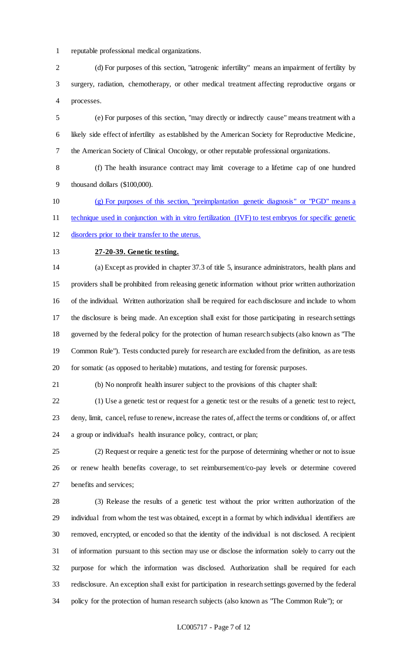reputable professional medical organizations.

 (d) For purposes of this section, "iatrogenic infertility" means an impairment of fertility by surgery, radiation, chemotherapy, or other medical treatment affecting reproductive organs or processes.

 (e) For purposes of this section, "may directly or indirectly cause" means treatment with a likely side effect of infertility as established by the American Society for Reproductive Medicine, the American Society of Clinical Oncology, or other reputable professional organizations.

 (f) The health insurance contract may limit coverage to a lifetime cap of one hundred thousand dollars (\$100,000).

 (g) For purposes of this section, "preimplantation genetic diagnosis" or "PGD" means a technique used in conjunction with in vitro fertilization (IVF) to test embryos for specific genetic

disorders prior to their transfer to the uterus.

# **27-20-39. Genetic testing.**

 (a) Except as provided in chapter 37.3 of title 5, insurance administrators, health plans and providers shall be prohibited from releasing genetic information without prior written authorization of the individual. Written authorization shall be required for each disclosure and include to whom the disclosure is being made. An exception shall exist for those participating in research settings governed by the federal policy for the protection of human research subjects (also known as "The Common Rule"). Tests conducted purely for research are excluded from the definition, as are tests for somatic (as opposed to heritable) mutations, and testing for forensic purposes.

(b) No nonprofit health insurer subject to the provisions of this chapter shall:

 (1) Use a genetic test or request for a genetic test or the results of a genetic test to reject, deny, limit, cancel, refuse to renew, increase the rates of, affect the terms or conditions of, or affect a group or individual's health insurance policy, contract, or plan;

 (2) Request or require a genetic test for the purpose of determining whether or not to issue or renew health benefits coverage, to set reimbursement/co-pay levels or determine covered benefits and services;

 (3) Release the results of a genetic test without the prior written authorization of the individual from whom the test was obtained, except in a format by which individual identifiers are removed, encrypted, or encoded so that the identity of the individual is not disclosed. A recipient of information pursuant to this section may use or disclose the information solely to carry out the purpose for which the information was disclosed. Authorization shall be required for each redisclosure. An exception shall exist for participation in research settings governed by the federal policy for the protection of human research subjects (also known as "The Common Rule"); or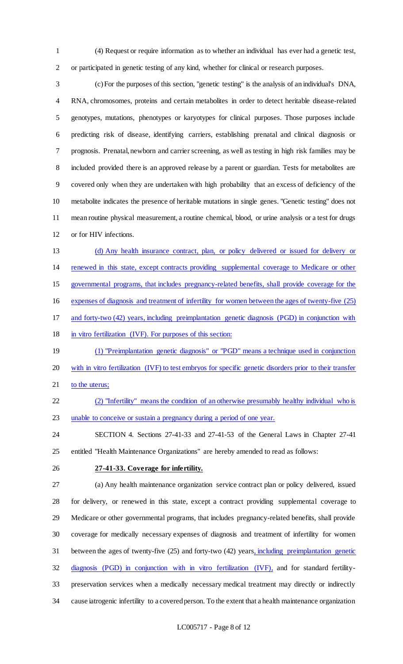(4) Request or require information as to whether an individual has ever had a genetic test, or participated in genetic testing of any kind, whether for clinical or research purposes.

 (c) For the purposes of this section, "genetic testing" is the analysis of an individual's DNA, RNA, chromosomes, proteins and certain metabolites in order to detect heritable disease-related genotypes, mutations, phenotypes or karyotypes for clinical purposes. Those purposes include predicting risk of disease, identifying carriers, establishing prenatal and clinical diagnosis or prognosis. Prenatal, newborn and carrier screening, as well as testing in high risk families may be included provided there is an approved release by a parent or guardian. Tests for metabolites are covered only when they are undertaken with high probability that an excess of deficiency of the metabolite indicates the presence of heritable mutations in single genes. "Genetic testing" does not mean routine physical measurement, a routine chemical, blood, or urine analysis or a test for drugs or for HIV infections.

 (d) Any health insurance contract, plan, or policy delivered or issued for delivery or renewed in this state, except contracts providing supplemental coverage to Medicare or other governmental programs, that includes pregnancy-related benefits, shall provide coverage for the

expenses of diagnosis and treatment of infertility for women between the ages of twenty-five (25)

and forty-two (42) years, including preimplantation genetic diagnosis (PGD) in conjunction with

18 in vitro fertilization (IVF). For purposes of this section:

 (1) "Preimplantation genetic diagnosis" or "PGD" means a technique used in conjunction with in vitro fertilization (IVF) to test embryos for specific genetic disorders prior to their transfer 21 to the uterus;

 (2) "Infertility" means the condition of an otherwise presumably healthy individual who is unable to conceive or sustain a pregnancy during a period of one year.

 SECTION 4. Sections 27-41-33 and 27-41-53 of the General Laws in Chapter 27-41 entitled "Health Maintenance Organizations" are hereby amended to read as follows:

## **27-41-33. Coverage for infertility.**

 (a) Any health maintenance organization service contract plan or policy delivered, issued for delivery, or renewed in this state, except a contract providing supplemental coverage to Medicare or other governmental programs, that includes pregnancy-related benefits, shall provide coverage for medically necessary expenses of diagnosis and treatment of infertility for women between the ages of twenty-five (25) and forty-two (42) years, including preimplantation genetic diagnosis (PGD) in conjunction with in vitro fertilization (IVF), and for standard fertility- preservation services when a medically necessary medical treatment may directly or indirectly cause iatrogenic infertility to a covered person. To the extent that a health maintenance organization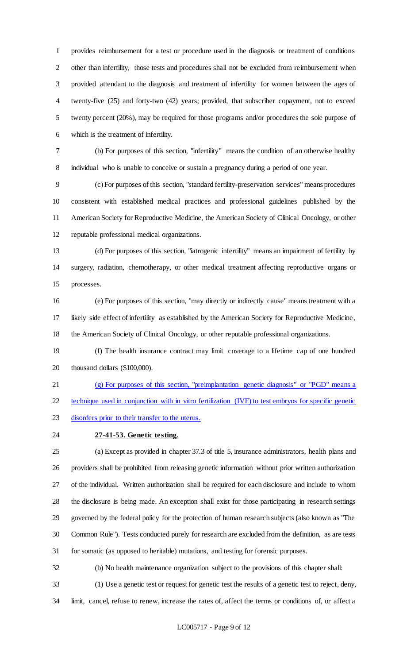provides reimbursement for a test or procedure used in the diagnosis or treatment of conditions other than infertility, those tests and procedures shall not be excluded from reimbursement when provided attendant to the diagnosis and treatment of infertility for women between the ages of twenty-five (25) and forty-two (42) years; provided, that subscriber copayment, not to exceed twenty percent (20%), may be required for those programs and/or procedures the sole purpose of which is the treatment of infertility.

 (b) For purposes of this section, "infertility" means the condition of an otherwise healthy individual who is unable to conceive or sustain a pregnancy during a period of one year.

 (c) For purposes of this section, "standard fertility-preservation services" means procedures consistent with established medical practices and professional guidelines published by the American Society for Reproductive Medicine, the American Society of Clinical Oncology, or other reputable professional medical organizations.

 (d) For purposes of this section, "iatrogenic infertility" means an impairment of fertility by surgery, radiation, chemotherapy, or other medical treatment affecting reproductive organs or processes.

 (e) For purposes of this section, "may directly or indirectly cause" means treatment with a likely side effect of infertility as established by the American Society for Reproductive Medicine, the American Society of Clinical Oncology, or other reputable professional organizations.

 (f) The health insurance contract may limit coverage to a lifetime cap of one hundred thousand dollars (\$100,000).

 (g) For purposes of this section, "preimplantation genetic diagnosis" or "PGD" means a 22 technique used in conjunction with in vitro fertilization (IVF) to test embryos for specific genetic disorders prior to their transfer to the uterus.

**27-41-53. Genetic testing.**

 (a) Except as provided in chapter 37.3 of title 5, insurance administrators, health plans and providers shall be prohibited from releasing genetic information without prior written authorization of the individual. Written authorization shall be required for each disclosure and include to whom the disclosure is being made. An exception shall exist for those participating in research settings governed by the federal policy for the protection of human research subjects (also known as "The Common Rule"). Tests conducted purely for research are excluded from the definition, as are tests for somatic (as opposed to heritable) mutations, and testing for forensic purposes.

(b) No health maintenance organization subject to the provisions of this chapter shall:

(1) Use a genetic test or request for genetic test the results of a genetic test to reject, deny,

limit, cancel, refuse to renew, increase the rates of, affect the terms or conditions of, or affect a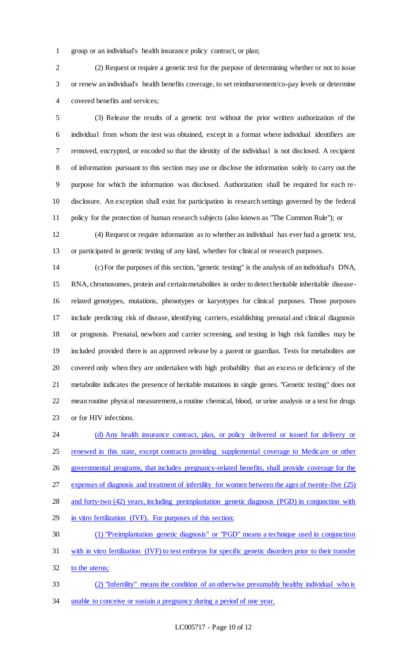group or an individual's health insurance policy contract, or plan;

 (2) Request or require a genetic test for the purpose of determining whether or not to issue or renew an individual's health benefits coverage, to set reimbursement/co-pay levels or determine covered benefits and services;

 (3) Release the results of a genetic test without the prior written authorization of the individual from whom the test was obtained, except in a format where individual identifiers are removed, encrypted, or encoded so that the identity of the individual is not disclosed. A recipient of information pursuant to this section may use or disclose the information solely to carry out the purpose for which the information was disclosed. Authorization shall be required for each re- disclosure. An exception shall exist for participation in research settings governed by the federal policy for the protection of human research subjects (also known as "The Common Rule"); or

 (4) Request or require information as to whether an individual has ever had a genetic test, or participated in genetic testing of any kind, whether for clinical or research purposes.

 (c) For the purposes of this section, "genetic testing" is the analysis of an individual's DNA, RNA, chromosomes, protein and certain metabolites in order to detect heritable inheritable disease- related genotypes, mutations, phenotypes or karyotypes for clinical purposes. Those purposes include predicting risk of disease, identifying carriers, establishing prenatal and clinical diagnosis or prognosis. Prenatal, newborn and carrier screening, and testing in high risk families may be included provided there is an approved release by a parent or guardian. Tests for metabolites are covered only when they are undertaken with high probability that an excess or deficiency of the metabolite indicates the presence of heritable mutations in single genes. "Genetic testing" does not mean routine physical measurement, a routine chemical, blood, or urine analysis or a test for drugs or for HIV infections.

24 (d) Any health insurance contract, plan, or policy delivered or issued for delivery or 25 renewed in this state, except contracts providing supplemental coverage to Medicare or other governmental programs, that includes pregnancy-related benefits, shall provide coverage for the expenses of diagnosis and treatment of infertility for women between the ages of twenty-five (25) and forty-two (42) years, including preimplantation genetic diagnosis (PGD) in conjunction with in vitro fertilization (IVF). For purposes of this section: (1) "Preimplantation genetic diagnosis" or "PGD" means a technique used in conjunction with in vitro fertilization (IVF) to test embryos for specific genetic disorders prior to their transfer 32 to the uterus; (2) "Infertility" means the condition of an otherwise presumably healthy individual who is

unable to conceive or sustain a pregnancy during a period of one year.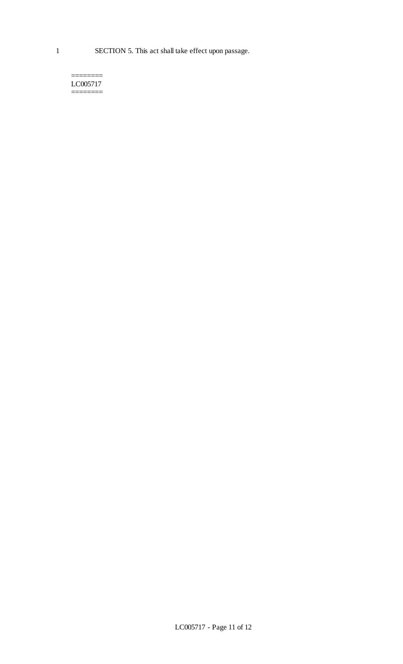======== LC005717 ========